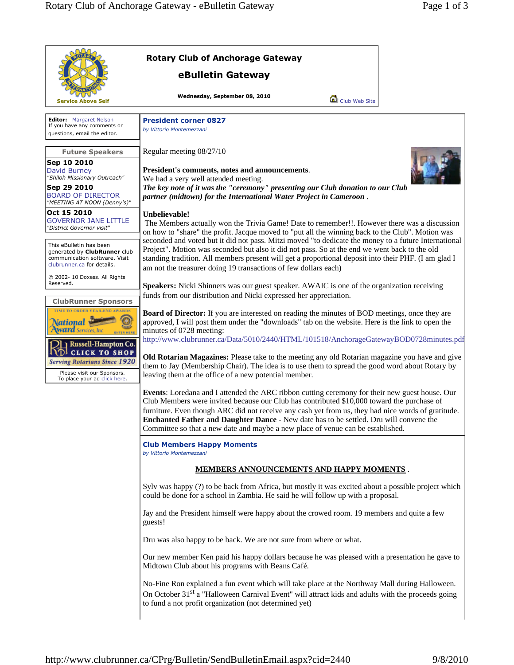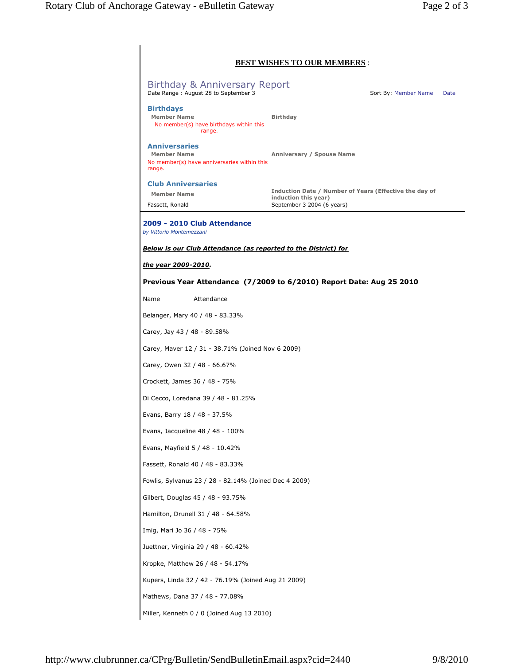|                                                                                                     | <b>BEST WISHES TO OUR MEMBERS:</b>                                                                           |
|-----------------------------------------------------------------------------------------------------|--------------------------------------------------------------------------------------------------------------|
| Birthday & Anniversary Report<br>Date Range: August 28 to September 3                               | Sort By: Member Name   Date                                                                                  |
| <b>Birthdays</b><br><b>Member Name</b><br>No member(s) have birthdays within this<br>range.         | <b>Birthday</b>                                                                                              |
| <b>Anniversaries</b><br><b>Member Name</b><br>No member(s) have anniversaries within this<br>range. | Anniversary / Spouse Name                                                                                    |
| <b>Club Anniversaries</b><br><b>Member Name</b><br>Fassett, Ronald                                  | Induction Date / Number of Years (Effective the day of<br>induction this year)<br>September 3 2004 (6 years) |
| 2009 - 2010 Club Attendance<br>by Vittorio Montemezzani                                             |                                                                                                              |
| <b>Below is our Club Attendance (as reported to the District) for</b>                               |                                                                                                              |
|                                                                                                     |                                                                                                              |
| the year 2009-2010.                                                                                 |                                                                                                              |
|                                                                                                     | Previous Year Attendance (7/2009 to 6/2010) Report Date: Aug 25 2010                                         |
| Attendance<br>Name                                                                                  |                                                                                                              |
| Belanger, Mary 40 / 48 - 83.33%                                                                     |                                                                                                              |
| Carey, Jay 43 / 48 - 89.58%                                                                         |                                                                                                              |
| Carey, Maver 12 / 31 - 38.71% (Joined Nov 6 2009)                                                   |                                                                                                              |
| Carey, Owen 32 / 48 - 66.67%                                                                        |                                                                                                              |
| Crockett, James 36 / 48 - 75%                                                                       |                                                                                                              |
| Di Cecco, Loredana 39 / 48 - 81.25%                                                                 |                                                                                                              |
| Evans, Barry 18 / 48 - 37.5%                                                                        |                                                                                                              |
| Evans, Jacqueline 48 / 48 - 100%                                                                    |                                                                                                              |
| Evans, Mayfield 5 / 48 - 10.42%                                                                     |                                                                                                              |
| Fassett, Ronald 40 / 48 - 83.33%                                                                    |                                                                                                              |
| Fowlis, Sylvanus 23 / 28 - 82.14% (Joined Dec 4 2009)                                               |                                                                                                              |
| Gilbert, Douglas 45 / 48 - 93.75%                                                                   |                                                                                                              |
|                                                                                                     |                                                                                                              |
| Hamilton, Drunell 31 / 48 - 64.58%                                                                  |                                                                                                              |
| Imig, Mari Jo 36 / 48 - 75%                                                                         |                                                                                                              |
| Juettner, Virginia 29 / 48 - 60.42%                                                                 |                                                                                                              |
| Kropke, Matthew 26 / 48 - 54.17%                                                                    |                                                                                                              |
|                                                                                                     |                                                                                                              |
| Kupers, Linda 32 / 42 - 76.19% (Joined Aug 21 2009)                                                 |                                                                                                              |
| Mathews, Dana 37 / 48 - 77.08%                                                                      |                                                                                                              |